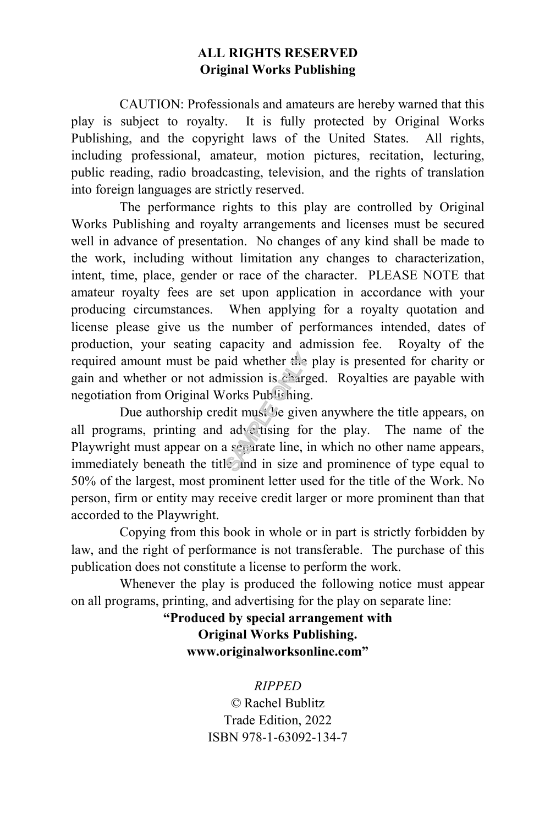#### **ALL RIGHTS RESERVED Original Works Publishing**

CAUTION: Professionals and amateurs are hereby warned that this play is subject to royalty. It is fully protected by Original Works Publishing, and the copyright laws of the United States. All rights, including professional, amateur, motion pictures, recitation, lecturing, public reading, radio broadcasting, television, and the rights of translation into foreign languages are strictly reserved.

The performance rights to this play are controlled by Original Works Publishing and royalty arrangements and licenses must be secured well in advance of presentation. No changes of any kind shall be made to the work, including without limitation any changes to characterization, intent, time, place, gender or race of the character. PLEASE NOTE that amateur royalty fees are set upon application in accordance with your producing circumstances. When applying for a royalty quotation and license please give us the number of performances intended, dates of production, your seating capacity and admission fee. Royalty of the required amount must be paid whether the play is presented for charity or gain and whether or not admission is charged. Royalties are payable with negotiation from Original Works Publishing.

Due authorship credit must be given anywhere the title appears, on all programs, printing and advertising for the play. The name of the Playwright must appear on a separate line, in which no other name appears, immediately beneath the title and in size and prominence of type equal to 50% of the largest, most prominent letter used for the title of the Work. No person, firm or entity may receive credit larger or more prominent than that accorded to the Playwright. and whether the<br>mission is charged<br>orks Publishing<br>dit must be give<br>advertising fo<br>a separate line, i<br>sparate line, i

Copying from this book in whole or in part is strictly forbidden by law, and the right of performance is not transferable. The purchase of this publication does not constitute a license to perform the work.

Whenever the play is produced the following notice must appear on all programs, printing, and advertising for the play on separate line:

> **"Produced by special arrangement with Original Works Publishing. www.originalworksonline.com"**

#### *RIPPED*

*©* Rachel Bublitz Trade Edition, 2022 ISBN 978-1-63092-134-7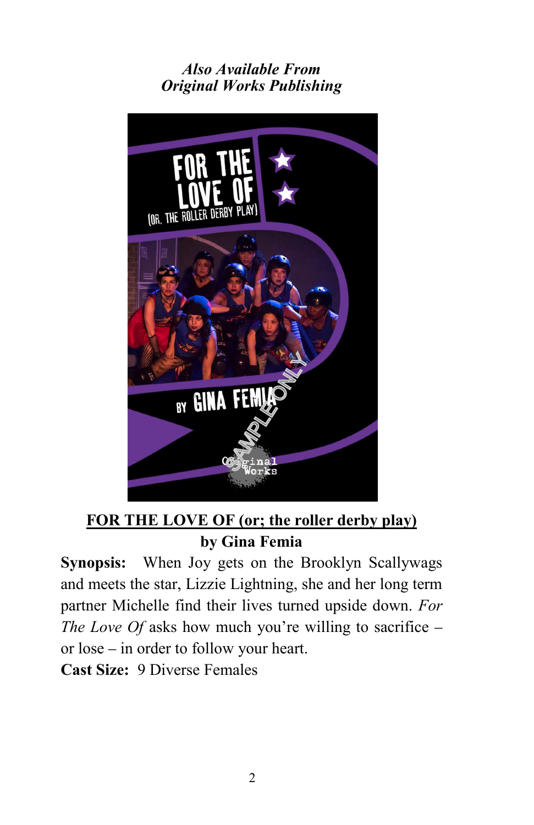# *Also Available From Original Works Publishing*



**FOR THE LOVE OF (or; the roller derby play) by Gina Femia**

**Synopsis:** When Joy gets on the Brooklyn Scallywags and meets the star, Lizzie Lightning, she and her long term partner Michelle find their lives turned upside down. *For The Love Of* asks how much you're willing to sacrifice – or lose – in order to follow your heart. **Cast Size:** 9 Diverse Females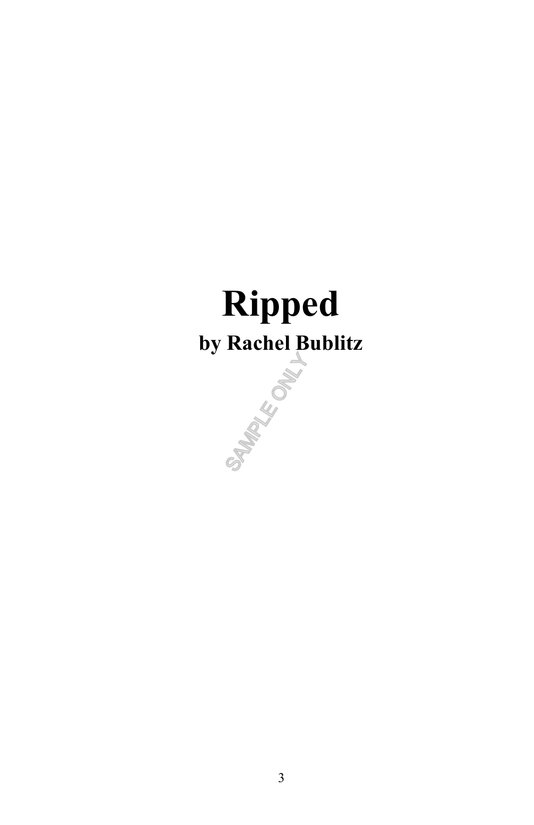# **Ripped by Rachel Bublitz**

SAMPLE ONLY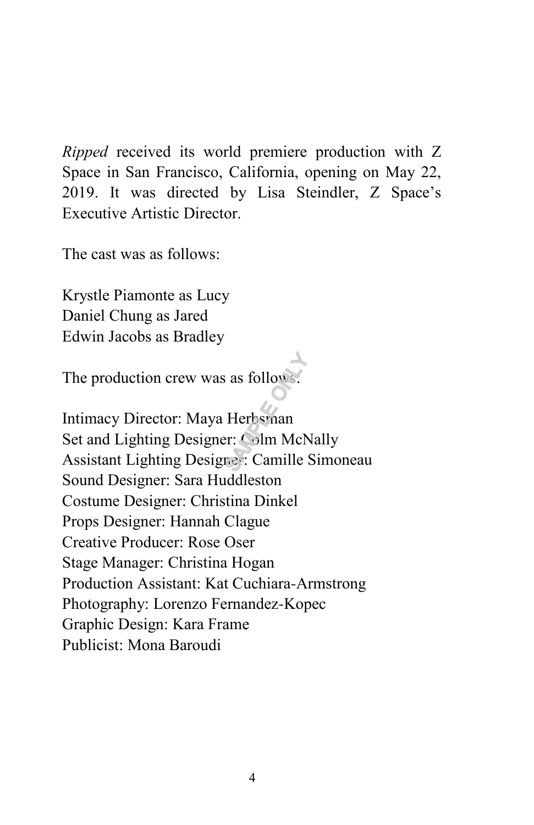*Ripped* received its world premiere production with Z Space in San Francisco, California, opening on May 22, 2019. It was directed by Lisa Steindler, Z Space's Executive Artistic Director.

The cast was as follows:

Krystle Piamonte as Lucy Daniel Chung as Jared Edwin Jacobs as Bradley

The production crew was as follows:

Intimacy Director: Maya Herbsman Set and Lighting Designer: Colm McNally Assistant Lighting Designer: Camille Simoneau Sound Designer: Sara Huddleston Costume Designer: Christina Dinkel Props Designer: Hannah Clague Creative Producer: Rose Oser Stage Manager: Christina Hogan Production Assistant: Kat Cuchiara-Armstrong Photography: Lorenzo Fernandez-Kopec Graphic Design: Kara Frame Publicist: Mona Baroudi as follows:<br>Herbsman<br>Fr: Colm McN<br>Toy: Camille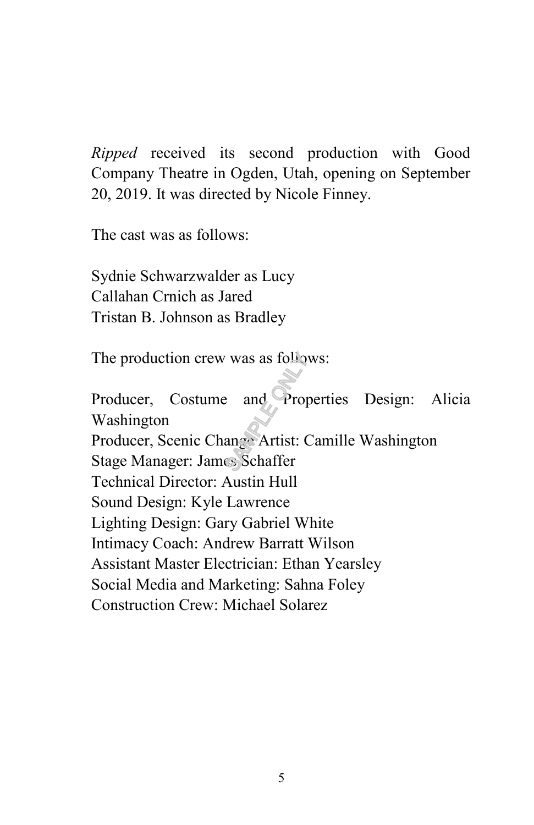*Ripped* received its second production with Good Company Theatre in Ogden, Utah, opening on September 20, 2019. It was directed by Nicole Finney.

The cast was as follows:

Sydnie Schwarzwalder as Lucy Callahan Crnich as Jared Tristan B. Johnson as Bradley

The production crew was as follows:

Producer, Costume and Properties Design: Alicia Washington Producer, Scenic Change Artist: Camille Washington Stage Manager: James Schaffer Technical Director: Austin Hull Sound Design: Kyle Lawrence Lighting Design: Gary Gabriel White Intimacy Coach: Andrew Barratt Wilson Assistant Master Electrician: Ethan Yearsley Social Media and Marketing: Sahna Foley Construction Crew: Michael Solarez was as follow<br>and Prop<br>ange Artist: C<br>Schaffer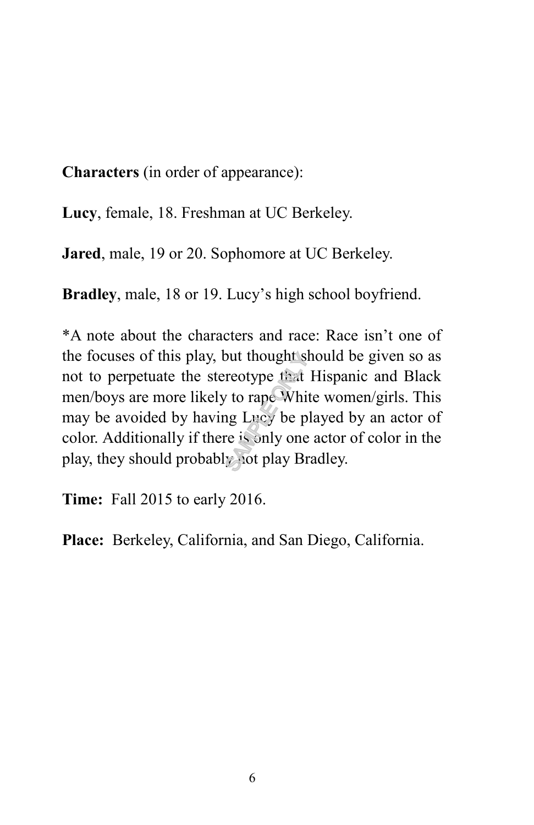**Characters** (in order of appearance):

**Lucy**, female, 18. Freshman at UC Berkeley.

**Jared**, male, 19 or 20. Sophomore at UC Berkeley.

**Bradley**, male, 18 or 19. Lucy's high school boyfriend.

\*A note about the characters and race: Race isn't one of the focuses of this play, but thought should be given so as not to perpetuate the stereotype that Hispanic and Black men/boys are more likely to rape White women/girls. This may be avoided by having Lucy be played by an actor of color. Additionally if there is only one actor of color in the play, they should probably not play Bradley. Solut thought<br>Sample of the property of the property<br>In the property of the property of the property<br>Sample of the property of the property of the property<br>In the property of the property of the property of the property of

**Time:** Fall 2015 to early 2016.

**Place:** Berkeley, California, and San Diego, California.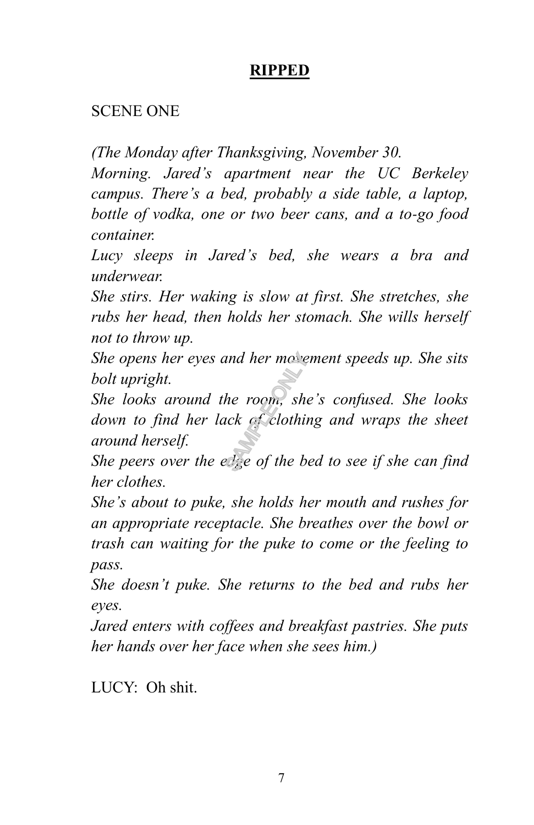# **RIPPED**

#### SCENE ONE

*(The Monday after Thanksgiving, November 30.*

*Morning. Jared's apartment near the UC Berkeley campus. There's a bed, probably a side table, a laptop, bottle of vodka, one or two beer cans, and a to-go food container.*

*Lucy sleeps in Jared's bed, she wears a bra and underwear.* 

*She stirs. Her waking is slow at first. She stretches, she rubs her head, then holds her stomach. She wills herself not to throw up.* 

*She opens her eyes and her movement speeds up. She sits bolt upright.* 

*She looks around the room, she's confused. She looks down to find her lack of clothing and wraps the sheet around herself.*  and her move<br>he room, sho<br>nck of clothin<br>Lize of the b

*She peers over the edge of the bed to see if she can find her clothes.* 

*She's about to puke, she holds her mouth and rushes for an appropriate receptacle. She breathes over the bowl or trash can waiting for the puke to come or the feeling to pass.*

*She doesn't puke. She returns to the bed and rubs her eyes.*

*Jared enters with coffees and breakfast pastries. She puts her hands over her face when she sees him.)*

LUCY: Oh shit.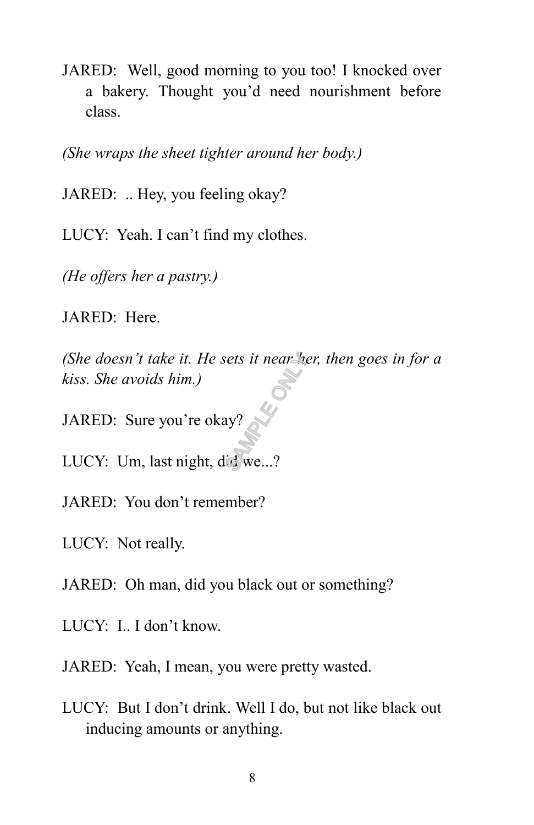JARED: Well, good morning to you too! I knocked over a bakery. Thought you'd need nourishment before class.

*(She wraps the sheet tighter around her body.)*

JARED: .. Hey, you feeling okay?

LUCY: Yeah. I can't find my clothes.

*(He offers her a pastry.)*

JARED: Here.

*(She doesn't take it. He sets it near her, then goes in for a kiss. She avoids him.)*<br>
JARED: Sure you're okay?<br>
LUCY: Um, last night, did we...? *kiss. She avoids him.)*

JARED: Sure you're okay?

LUCY: Um, last night, did we...?

JARED: You don't remember?

LUCY: Not really.

JARED: Oh man, did you black out or something?

LUCY: I.. I don't know.

JARED: Yeah, I mean, you were pretty wasted.

LUCY: But I don't drink. Well I do, but not like black out inducing amounts or anything.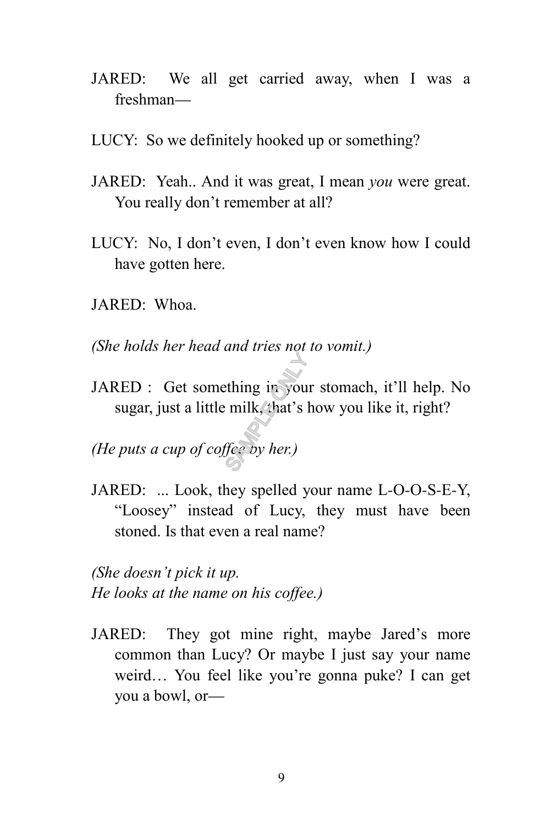- JARED: We all get carried away, when I was a freshman—
- LUCY: So we definitely hooked up or something?
- JARED: Yeah.. And it was great, I mean *you* were great. You really don't remember at all?
- LUCY: No, I don't even, I don't even know how I could have gotten here.
- JARED: Whoa.
- *(She holds her head and tries not to vomit.)*
- JARED : Get something in your stomach, it'll help. No sugar, just a little milk, that's how you like it, right? thing in you<br>
milk, that's l
- *(He puts a cup of coffee by her.)*
- JARED: ... Look, they spelled your name L-O-O-S-E-Y, "Loosey" instead of Lucy, they must have been stoned. Is that even a real name?

*(She doesn't pick it up. He looks at the name on his coffee.)*

JARED: They got mine right, maybe Jared's more common than Lucy? Or maybe I just say your name weird… You feel like you're gonna puke? I can get you a bowl, or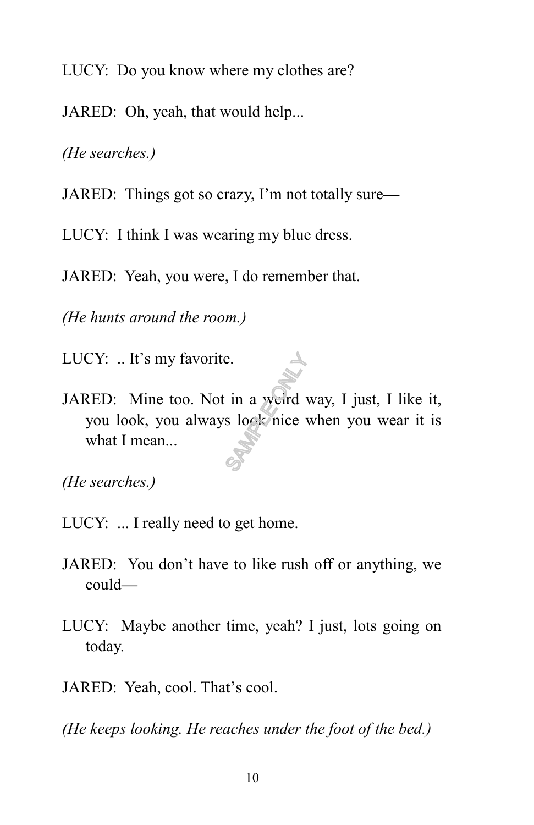LUCY: Do you know where my clothes are?

JARED: Oh, yeah, that would help...

*(He searches.)*

JARED: Things got so crazy, I'm not totally sure—

LUCY: I think I was wearing my blue dress.

JARED: Yeah, you were, I do remember that.

*(He hunts around the room.)*

LUCY: .. It's my favorite.

JARED: Mine too. Not in a weird way, I just, I like it, you look, you always look nice when you wear it is what I mean... e.

*(He searches.)*

- LUCY: ... I really need to get home.
- JARED: You don't have to like rush off or anything, we could—
- LUCY: Maybe another time, yeah? I just, lots going on today.
- JARED: Yeah, cool. That's cool.

*(He keeps looking. He reaches under the foot of the bed.)*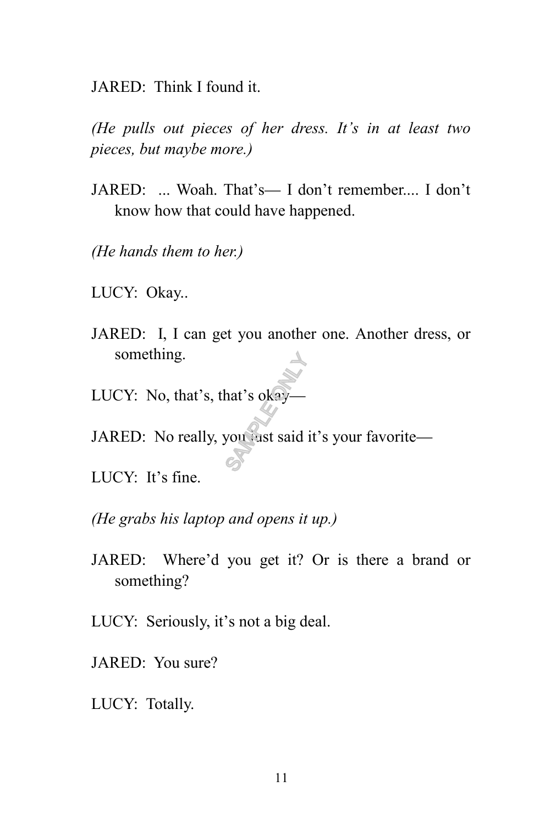JARED: Think I found it.

*(He pulls out pieces of her dress. It's in at least two pieces, but maybe more.)*

- JARED: ... Woah. That's— I don't remember.... I don't know how that could have happened.
- *(He hands them to her.)*
- LUCY: Okay..
- JARED: I, I can get you another one. Another dress, or something.
- LUCY: No, that's, that's okay-
- JARED: No really, you just said it's your favorite-A<br>hat's okay<br>you ast said
- LUCY: It's fine.
- *(He grabs his laptop and opens it up.)*
- JARED: Where'd you get it? Or is there a brand or something?
- LUCY: Seriously, it's not a big deal.
- JARED: You sure?
- LUCY: Totally.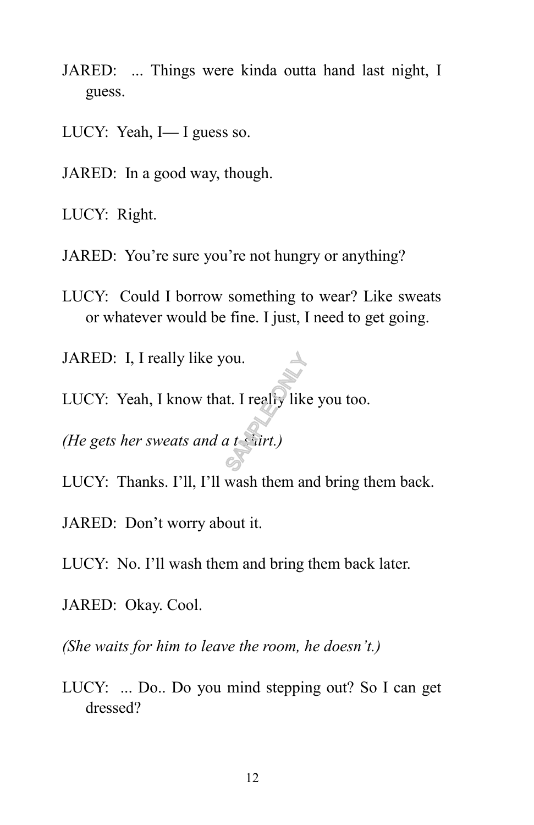- JARED: ... Things were kinda outta hand last night, I guess.
- LUCY: Yeah, I— I guess so.
- JARED: In a good way, though.

LUCY: Right.

- JARED: You're sure you're not hungry or anything?
- LUCY: Could I borrow something to wear? Like sweats or whatever would be fine. I just, I need to get going.

JARED: I, I really like you.

LUCY: Yeah, I know that. I really like you too. ou.<br>
It. I realiy like<br>
a t surt.)

*(He gets her sweats and a t-shirt.)*

- LUCY: Thanks. I'll, I'll wash them and bring them back.
- JARED: Don't worry about it.
- LUCY: No. I'll wash them and bring them back later.
- JARED: Okay. Cool.

*(She waits for him to leave the room, he doesn't.)*

LUCY: ... Do.. Do you mind stepping out? So I can get dressed?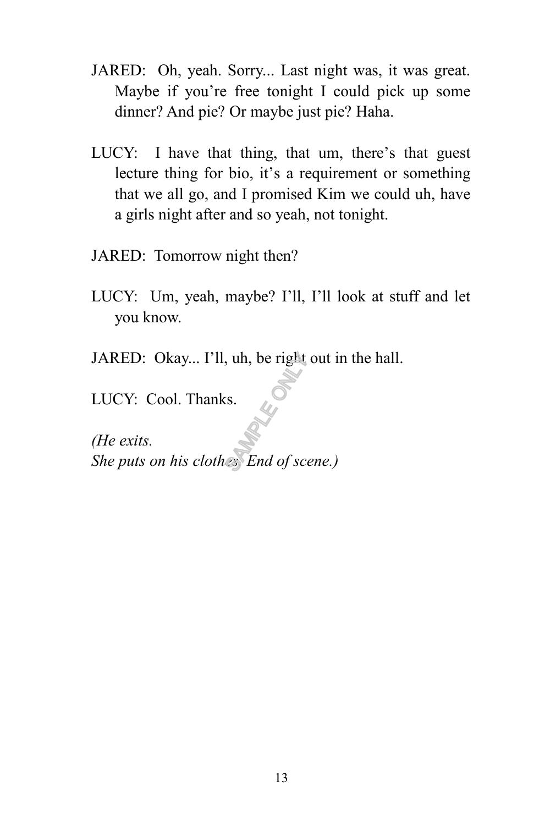- JARED: Oh, yeah. Sorry... Last night was, it was great. Maybe if you're free tonight I could pick up some dinner? And pie? Or maybe just pie? Haha.
- LUCY: I have that thing, that um, there's that guest lecture thing for bio, it's a requirement or something that we all go, and I promised Kim we could uh, have a girls night after and so yeah, not tonight.
- JARED: Tomorrow night then?
- LUCY: Um, yeah, maybe? I'll, I'll look at stuff and let you know.
- JARED: Okay... I'll, uh, be right out in the hall.

LUCY: Cool. Thanks.

*(He exits. She puts on his clothes. End of scene.)*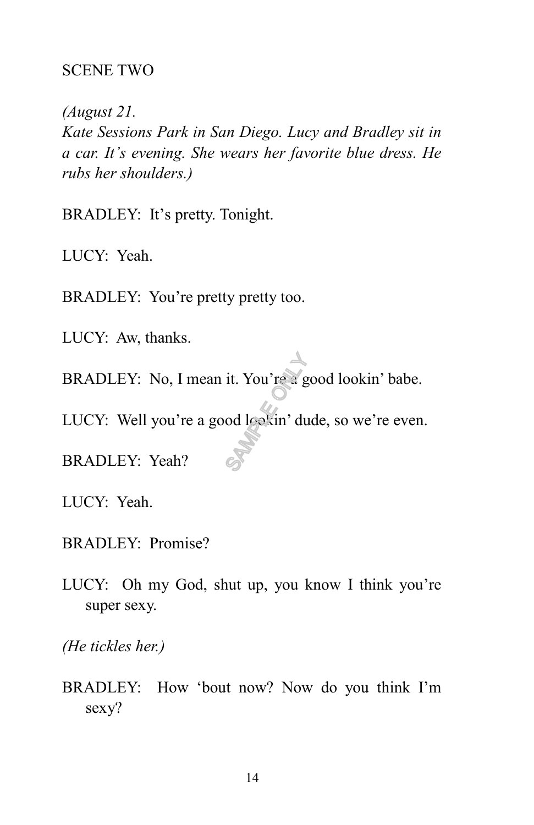#### SCENE TWO

*(August 21. Kate Sessions Park in San Diego. Lucy and Bradley sit in a car. It's evening. She wears her favorite blue dress. He rubs her shoulders.)*

BRADLEY: It's pretty. Tonight.

LUCY: Yeah.

BRADLEY: You're pretty pretty too.

LUCY: Aw, thanks.

BRADLEY: No, I mean it. You're a good lookin' babe. it. You're  $\frac{1}{2}$  g<br>od leakin' du

LUCY: Well you're a good lookin' dude, so we're even.

BRADLEY: Yeah?

LUCY: Yeah.

- BRADLEY: Promise?
- LUCY: Oh my God, shut up, you know I think you're super sexy.

*(He tickles her.)*

BRADLEY: How 'bout now? Now do you think I'm sexy?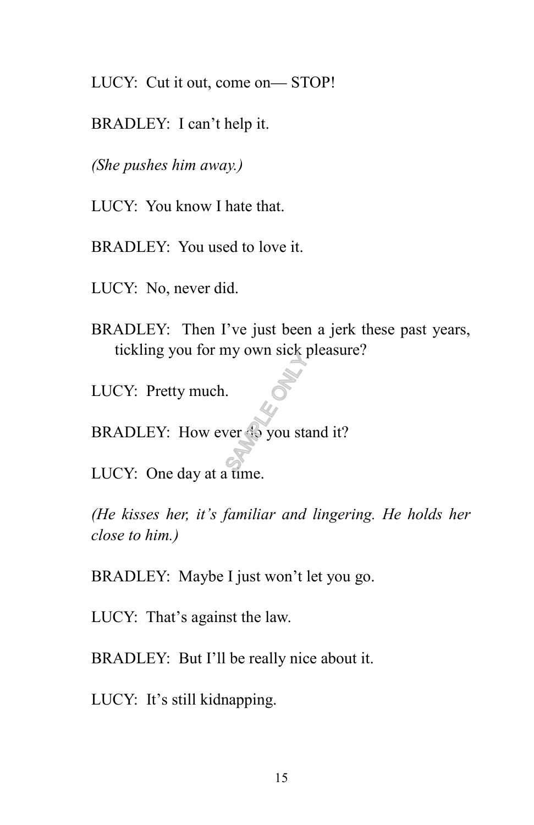LUCY: Cut it out, come on— STOP!

BRADLEY: I can't help it.

*(She pushes him away.)*

LUCY: You know I hate that.

BRADLEY: You used to love it.

LUCY: No, never did.

- BRADLEY: Then I've just been a jerk these past years, tickling you for my own sick pleasure?
- LUCY: Pretty much.

BRADLEY: How ever do you stand it?  $S_{\text{S}}$ <br>SAMPLE ONLY  $\frac{1}{2}$ <br>S<sub>AMPLE</sub> ONLY  $\frac{1}{2}$ 

LUCY: One day at a time.

*(He kisses her, it's familiar and lingering. He holds her close to him.)*

BRADLEY: Maybe I just won't let you go.

LUCY: That's against the law.

BRADLEY: But I'll be really nice about it.

LUCY: It's still kidnapping.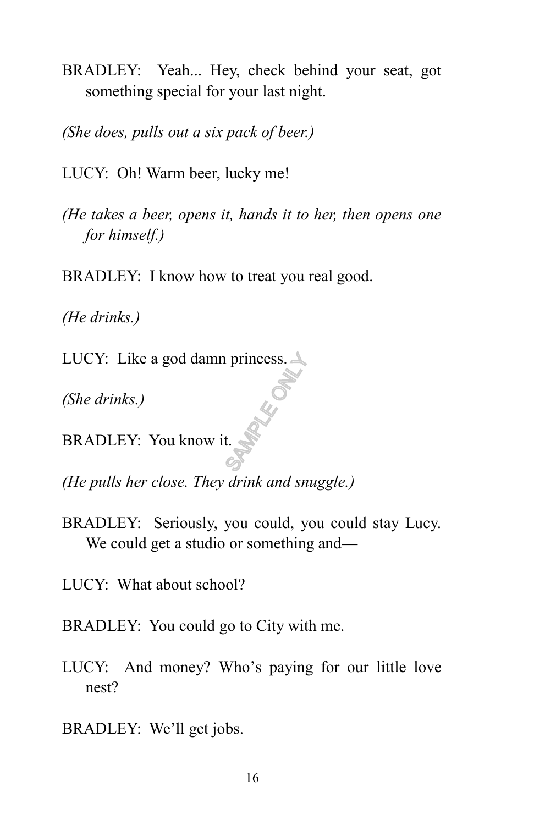BRADLEY: Yeah... Hey, check behind your seat, got something special for your last night.

*(She does, pulls out a six pack of beer.)*

LUCY: Oh! Warm beer, lucky me!

*(He takes a beer, opens it, hands it to her, then opens one for himself.)*

BRADLEY: I know how to treat you real good.

*(He drinks.)*

LUCY: Like a god damn princess.  $\triangle$ **SAMPLE ONLY.** 

*(She drinks.)*

BRADLEY: You know it.

*(He pulls her close. They drink and snuggle.)*

BRADLEY: Seriously, you could, you could stay Lucy. We could get a studio or something and—

LUCY: What about school?

BRADLEY: You could go to City with me.

- LUCY: And money? Who's paying for our little love nest?
- BRADLEY: We'll get jobs.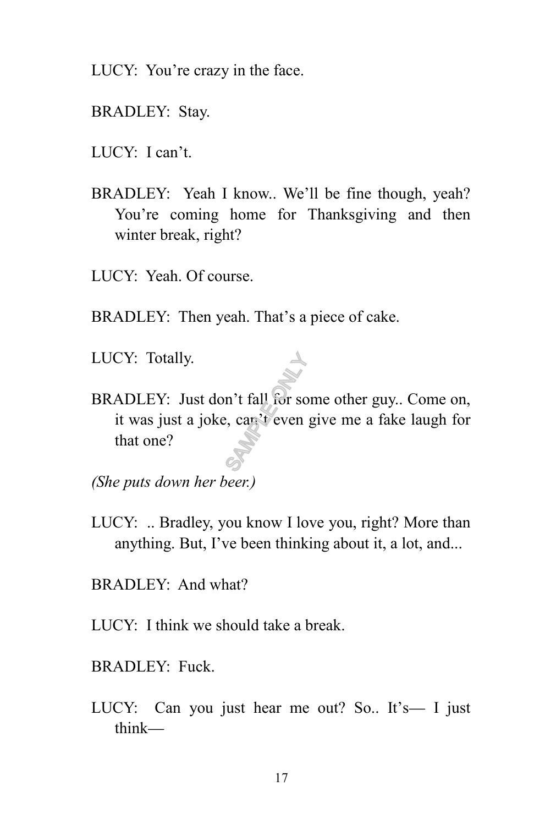- LUCY: You're crazy in the face.
- BRADLEY: Stay.
- LUCY: I can't.
- BRADLEY: Yeah I know.. We'll be fine though, yeah? You're coming home for Thanksgiving and then winter break, right?
- LUCY: Yeah. Of course.
- BRADLEY: Then yeah. That's a piece of cake.
- LUCY: Totally.
- BRADLEY: Just don't fall for some other guy.. Come on, it was just a joke, can't even give me a fake laugh for that one? m't fall for so

*(She puts down her beer.)*

- LUCY: .. Bradley, you know I love you, right? More than anything. But, I've been thinking about it, a lot, and...
- BRADLEY: And what?
- LUCY: I think we should take a break.
- BRADLEY: Fuck.
- LUCY: Can you just hear me out? So.. It's— I just think—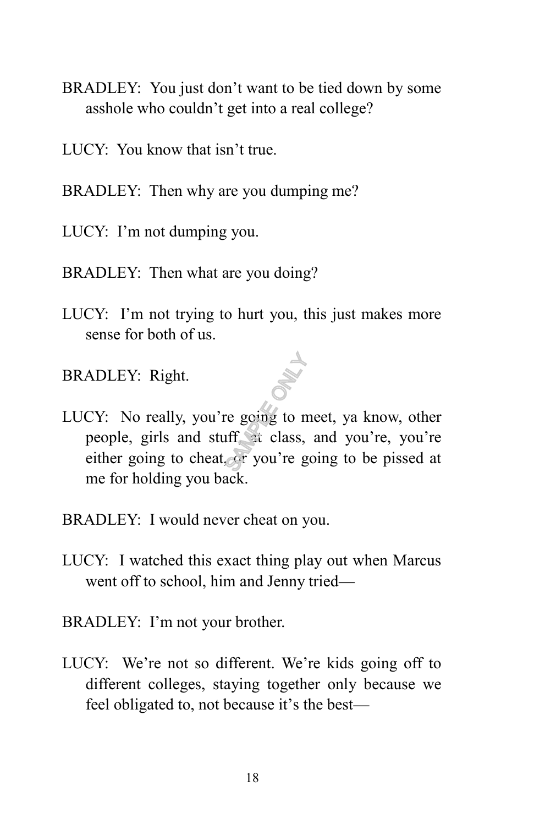- BRADLEY: You just don't want to be tied down by some asshole who couldn't get into a real college?
- LUCY: You know that isn't true.
- BRADLEY: Then why are you dumping me?
- LUCY: I'm not dumping you.
- BRADLEY: Then what are you doing?
- LUCY: I'm not trying to hurt you, this just makes more sense for both of us.
- BRADLEY: Right.
- LUCY: No really, you're going to meet, ya know, other people, girls and stuff, at class, and you're, you're either going to cheat, or you're going to be pissed at me for holding you back. SAMPLE OF SAMPLE OF STRING
- BRADLEY: I would never cheat on you.
- LUCY: I watched this exact thing play out when Marcus went off to school, him and Jenny tried—
- BRADLEY: I'm not your brother.
- LUCY: We're not so different. We're kids going off to different colleges, staying together only because we feel obligated to, not because it's the best—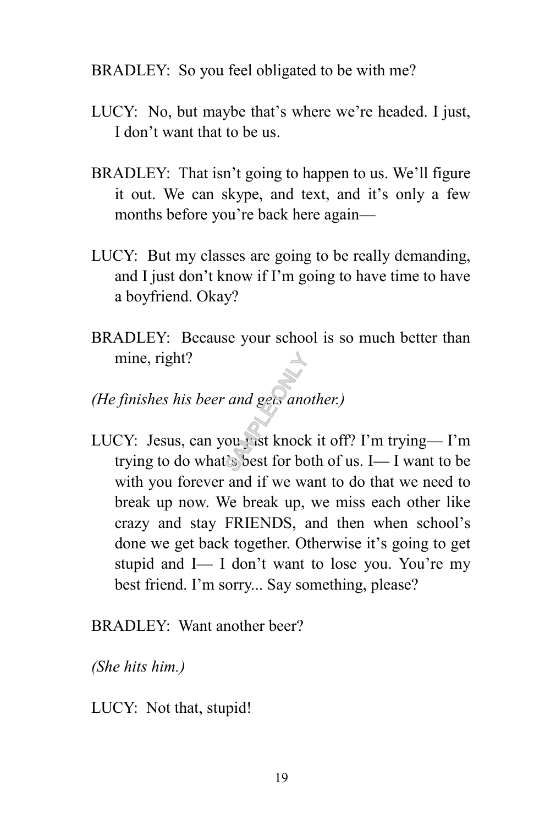#### BRADLEY: So you feel obligated to be with me?

- LUCY: No, but maybe that's where we're headed. I just, I don't want that to be us.
- BRADLEY: That isn't going to happen to us. We'll figure it out. We can skype, and text, and it's only a few months before you're back here again—
- LUCY: But my classes are going to be really demanding, and I just don't know if I'm going to have time to have a boyfriend. Okay?
- BRADLEY: Because your school is so much better than mine, right?
- *(He finishes his beer and gets another.)*
- LUCY: Jesus, can you just knock it off? I'm trying-I'm trying to do what's best for both of us. I— I want to be with you forever and if we want to do that we need to break up now. We break up, we miss each other like crazy and stay FRIENDS, and then when school's done we get back together. Otherwise it's going to get stupid and I— I don't want to lose you. You're my best friend. I'm sorry... Say something, please? and gets and<br>our list knock<br>Solest for bo

BRADLEY: Want another beer?

*(She hits him.)*

LUCY: Not that, stupid!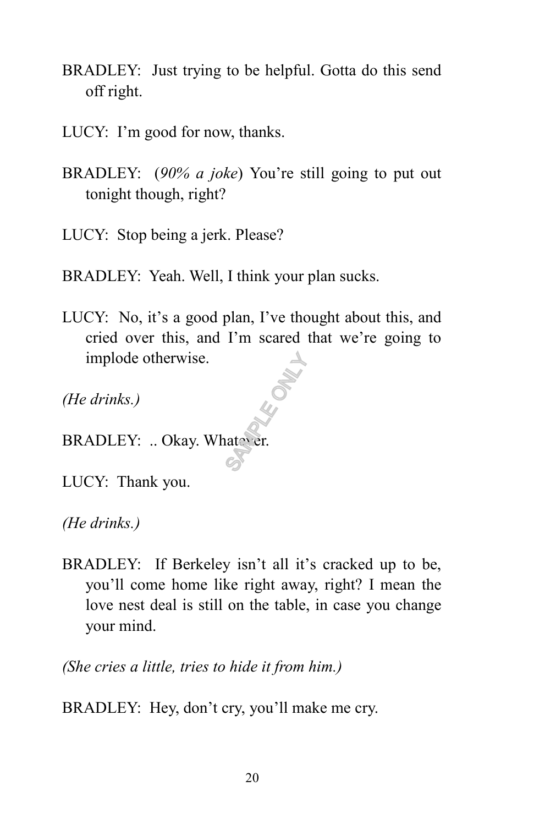- BRADLEY: Just trying to be helpful. Gotta do this send off right.
- LUCY: I'm good for now, thanks.
- BRADLEY: (*90% a joke*) You're still going to put out tonight though, right?

LUCY: Stop being a jerk. Please?

BRADLEY: Yeah. Well, I think your plan sucks.

LUCY: No, it's a good plan, I've thought about this, and cried over this, and I'm scared that we're going to implode otherwise. **SAMPLE ONLY SEE** 

*(He drinks.)*

BRADLEY: .. Okay. Whatever.

LUCY: Thank you.

*(He drinks.)*

BRADLEY: If Berkeley isn't all it's cracked up to be, you'll come home like right away, right? I mean the love nest deal is still on the table, in case you change your mind.

*(She cries a little, tries to hide it from him.)*

BRADLEY: Hey, don't cry, you'll make me cry.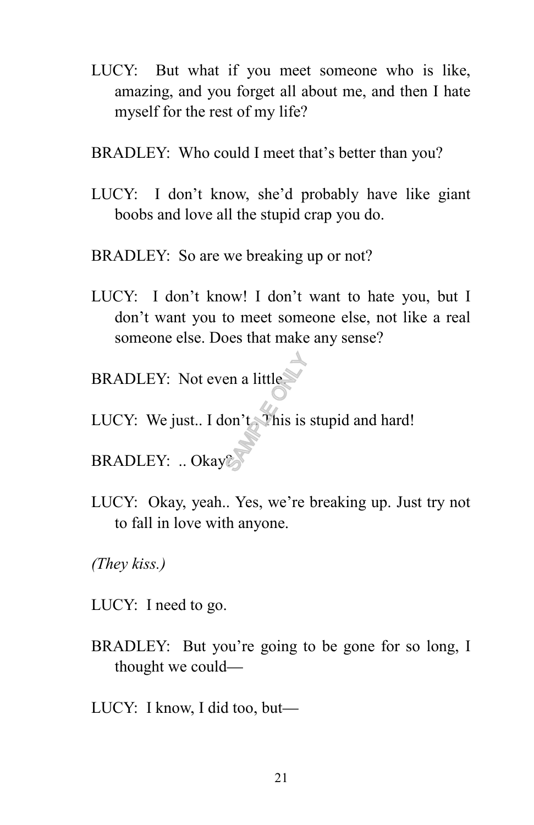- LUCY: But what if you meet someone who is like, amazing, and you forget all about me, and then I hate myself for the rest of my life?
- BRADLEY: Who could I meet that's better than you?
- LUCY: I don't know, she'd probably have like giant boobs and love all the stupid crap you do.
- BRADLEY: So are we breaking up or not?
- LUCY: I don't know! I don't want to hate you, but I don't want you to meet someone else, not like a real someone else. Does that make any sense?
- BRADLEY: Not even a little.
- LUCY: We just.. I don't. This is stupid and hard!  $\frac{1}{\sqrt{\frac{1}{1+\frac{1}{1+\frac{1}{1+\frac{1}{1+\frac{1}{1+\frac{1}{1+\frac{1}{1+\frac{1}{1+\frac{1}{1+\frac{1}{1+\frac{1}{1+\frac{1}{1+\frac{1}{1+\frac{1}{1+\frac{1}{1+\frac{1}{1+\frac{1}{1+\frac{1}{1+\frac{1}{1+\frac{1}{1+\frac{1}{1+\frac{1}{1+\frac{1}{1+\frac{1}{1+\frac{1}{1+\frac{1}{1+\frac{1}{1+\frac{1}{1+\frac{1}{1+\frac{1}{1+\frac{1}{1+\frac{1}{1+\frac{1}{1+\frac{1}{1+\frac{1}{1+\frac{$
- BRADLEY: .. Okay?
- LUCY: Okay, yeah.. Yes, we're breaking up. Just try not to fall in love with anyone.

*(They kiss.)* 

- LUCY: I need to go.
- BRADLEY: But you're going to be gone for so long, I thought we could—
- LUCY: I know, I did too, but—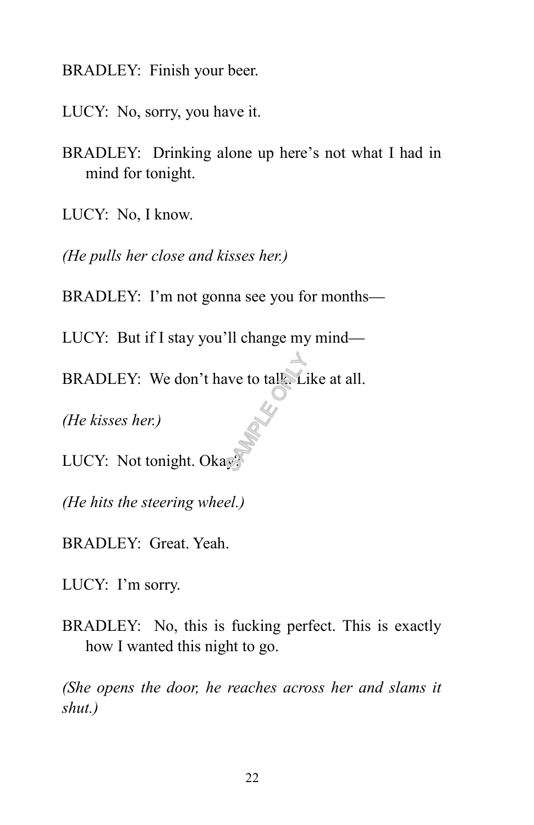BRADLEY: Finish your beer.

LUCY: No, sorry, you have it.

BRADLEY: Drinking alone up here's not what I had in mind for tonight.

LUCY: No, I know.

*(He pulls her close and kisses her.)*

BRADLEY: I'm not gonna see you for months—

LUCY: But if I stay you'll change my mind—

BRADLEY: We don't have to tall. Like at all.  $\frac{1}{\sqrt{2}}$ 

*(He kisses her.)*

LUCY: Not tonight. Okay

*(He hits the steering wheel.)*

BRADLEY: Great. Yeah.

LUCY: I'm sorry.

BRADLEY: No, this is fucking perfect. This is exactly how I wanted this night to go.

*(She opens the door, he reaches across her and slams it shut.)*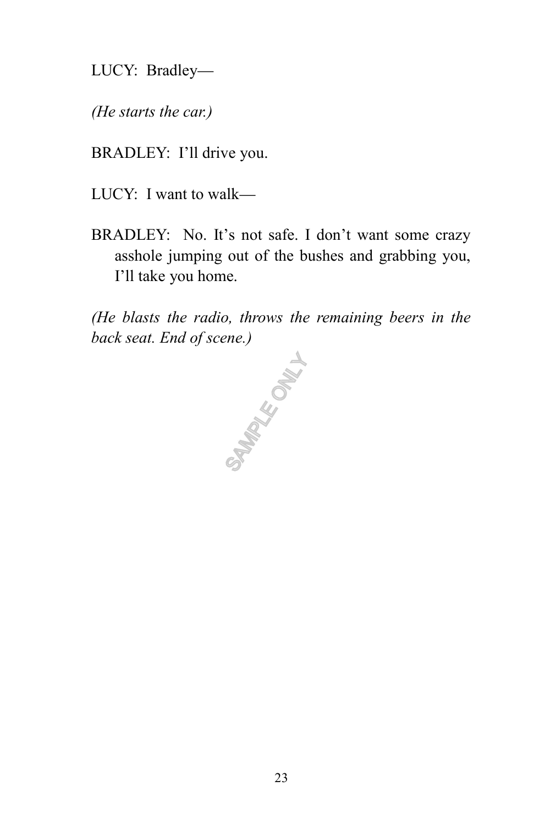LUCY: Bradley—

*(He starts the car.)*

BRADLEY: I'll drive you.

LUCY: I want to walk—

BRADLEY: No. It's not safe. I don't want some crazy asshole jumping out of the bushes and grabbing you, I'll take you home.

*(He blasts the radio, throws the remaining beers in the back seat. End of scene.)*

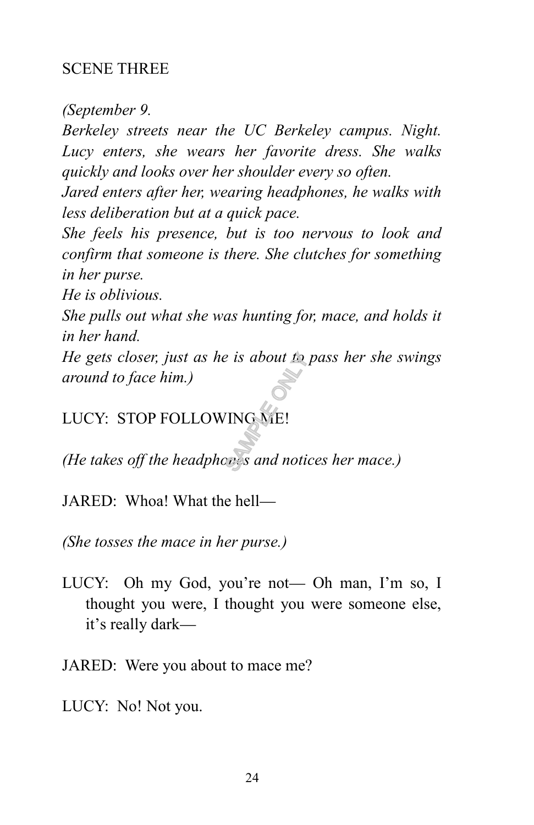## SCENE THREE

*(September 9.* 

*Berkeley streets near the UC Berkeley campus. Night. Lucy enters, she wears her favorite dress. She walks quickly and looks over her shoulder every so often.*

*Jared enters after her, wearing headphones, he walks with less deliberation but at a quick pace.*

*She feels his presence, but is too nervous to look and confirm that someone is there. She clutches for something in her purse.*

*He is oblivious.*

*She pulls out what she was hunting for, mace, and holds it in her hand.*

*He gets closer, just as he is about to pass her she swings around to face him.) He gets closer, just as he is about th pass her she s*<br>*around to face him.)*<br>LUCY: STOP FOLLOWING ME!<br>(He takes off the headphones and notices her mace.)

LUCY: STOP FOLLOWING ME!

JARED: Whoa! What the hell—

*(She tosses the mace in her purse.)*

LUCY: Oh my God, you're not— Oh man, I'm so, I thought you were, I thought you were someone else, it's really dark—

JARED: Were you about to mace me?

LUCY: No! Not you.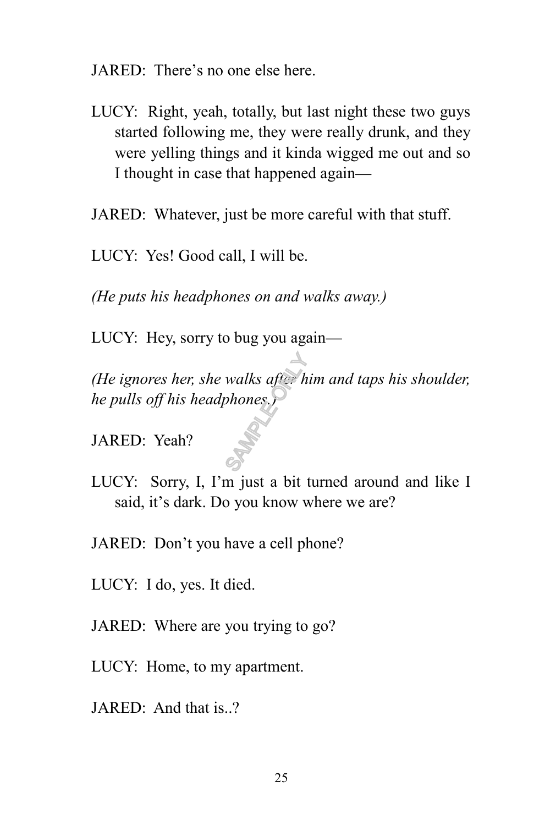JARED: There's no one else here.

- LUCY: Right, yeah, totally, but last night these two guys started following me, they were really drunk, and they were yelling things and it kinda wigged me out and so I thought in case that happened again—
- JARED: Whatever, just be more careful with that stuff.

LUCY: Yes! Good call, I will be.

*(He puts his headphones on and walks away.)*

LUCY: Hey, sorry to bug you again—

*(He ignores her, she walks after him and taps his shoulder, he pulls off his headphones.)* walks after h<br>phones<br>S

JARED: Yeah?

- LUCY: Sorry, I, I'm just a bit turned around and like I said, it's dark. Do you know where we are?
- JARED: Don't you have a cell phone?
- LUCY: I do, yes. It died.
- JARED: Where are you trying to go?
- LUCY: Home, to my apartment.
- JARED: And that is..?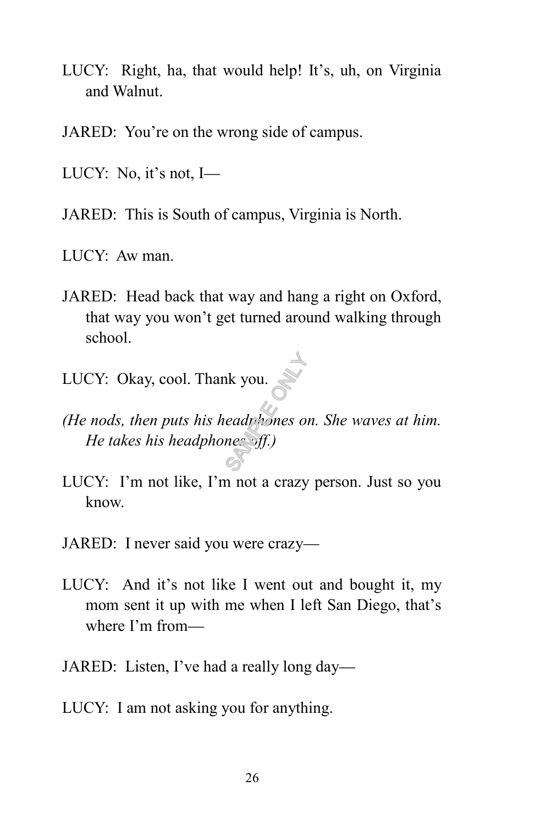- LUCY: Right, ha, that would help! It's, uh, on Virginia and Walnut.
- JARED: You're on the wrong side of campus.
- LUCY: No, it's not, I—
- JARED: This is South of campus, Virginia is North.
- LUCY: Aw man.
- JARED: Head back that way and hang a right on Oxford, that way you won't get turned around walking through school.
- LUCY: Okay, cool. Thank you.
- *(He nods, then puts his headphones on. She waves at him. He takes his headphones off.)* Reference of the set of the set of the set of the set of the set of the set of the set of the set of the set of the set of the set of the set of the set of the set of the set of the set of the set of the set of the set of
- LUCY: I'm not like, I'm not a crazy person. Just so you know.
- JARED: I never said you were crazy—
- LUCY: And it's not like I went out and bought it, my mom sent it up with me when I left San Diego, that's where I'm from—
- JARED: Listen, I've had a really long day—
- LUCY: I am not asking you for anything.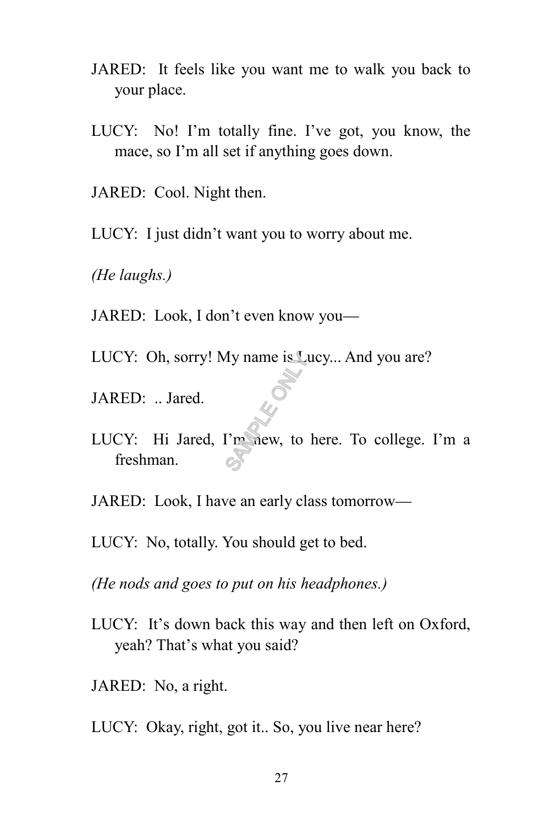- JARED: It feels like you want me to walk you back to your place.
- LUCY: No! I'm totally fine. I've got, you know, the mace, so I'm all set if anything goes down.
- JARED: Cool. Night then.
- LUCY: I just didn't want you to worry about me.
- *(He laughs.)*
- JARED: Look, I don't even know you—
- LUCY: Oh, sorry! My name is Lucy... And you are?
- JARED: .. Jared.
- LUCY: Hi Jared, I'm new, to here. To college. I'm a freshman.  $\sum_{s}$ <br> $\sum_{s}$ <br> $\sum_{s}$ <br> $\sum_{s}$ <br> $\sum_{s}$ <br> $\sum_{s}$ <br> $\sum_{s}$ <br> $\sum_{s}$ <br> $\sum_{s}$ <br> $\sum_{s}$ <br> $\sum_{s}$ <br> $\sum_{s}$ <br> $\sum_{s}$ <br> $\sum_{s}$
- JARED: Look, I have an early class tomorrow—
- LUCY: No, totally. You should get to bed.
- *(He nods and goes to put on his headphones.)*
- LUCY: It's down back this way and then left on Oxford, yeah? That's what you said?
- JARED: No, a right.
- LUCY: Okay, right, got it.. So, you live near here?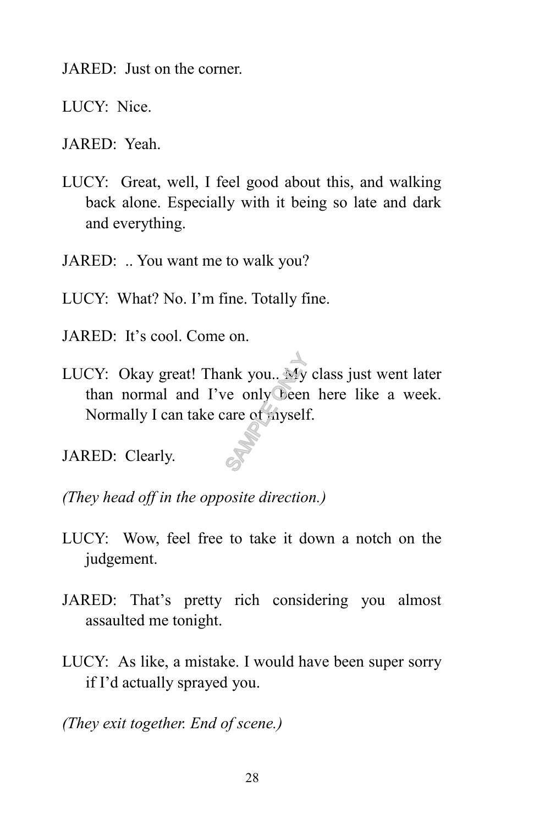JARED: Just on the corner.

LUCY: Nice.

JARED: Yeah.

LUCY: Great, well, I feel good about this, and walking back alone. Especially with it being so late and dark and everything.

JARED: .. You want me to walk you?

- LUCY: What? No. I'm fine. Totally fine.
- JARED: It's cool. Come on.
- LUCY: Okay great! Thank you.. My class just went later than normal and I've only been here like a week. Normally I can take care of myself. only vou... My<br>ve only Deen<br>are of myself

JARED: Clearly.

*(They head off in the opposite direction.)*

- LUCY: Wow, feel free to take it down a notch on the judgement.
- JARED: That's pretty rich considering you almost assaulted me tonight.
- LUCY: As like, a mistake. I would have been super sorry if I'd actually sprayed you.

*(They exit together. End of scene.)*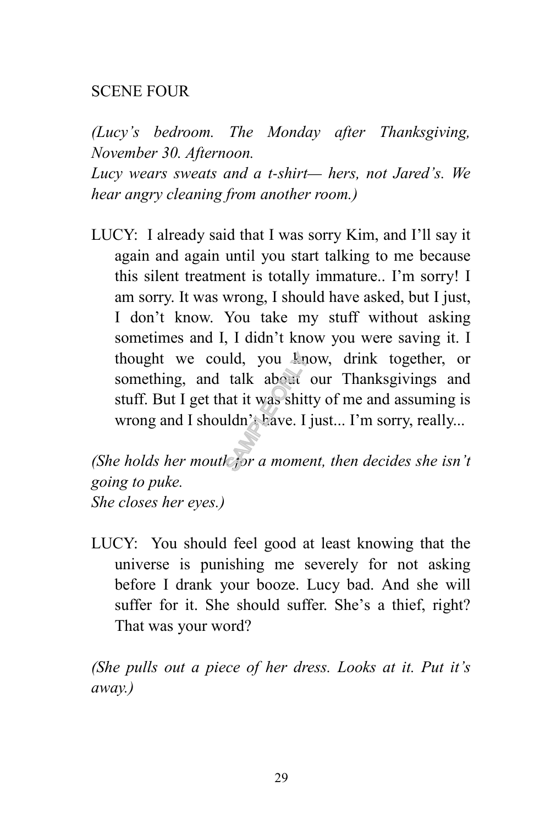### SCENE FOUR

*(Lucy's bedroom. The Monday after Thanksgiving, November 30. Afternoon.* 

*Lucy wears sweats and a t-shirt— hers, not Jared's. We hear angry cleaning from another room.)*

LUCY: I already said that I was sorry Kim, and I'll say it again and again until you start talking to me because this silent treatment is totally immature.. I'm sorry! I am sorry. It was wrong, I should have asked, but I just, I don't know. You take my stuff without asking sometimes and I, I didn't know you were saving it. I thought we could, you know, drink together, or something, and talk about our Thanksgivings and stuff. But I get that it was shitty of me and assuming is wrong and I shouldn't have. I just... I'm sorry, really... thought we could, you linew, drink together, or something, and talk about our Thanksgivings and stuff. But I get that it was shitty of me and assuming is wrong and I shouldn't have. I just... I'm sorry, really...<br>(*She hol* 

*going to puke. She closes her eyes.)*

LUCY: You should feel good at least knowing that the universe is punishing me severely for not asking before I drank your booze. Lucy bad. And she will suffer for it. She should suffer. She's a thief, right? That was your word?

*(She pulls out a piece of her dress. Looks at it. Put it's away.)*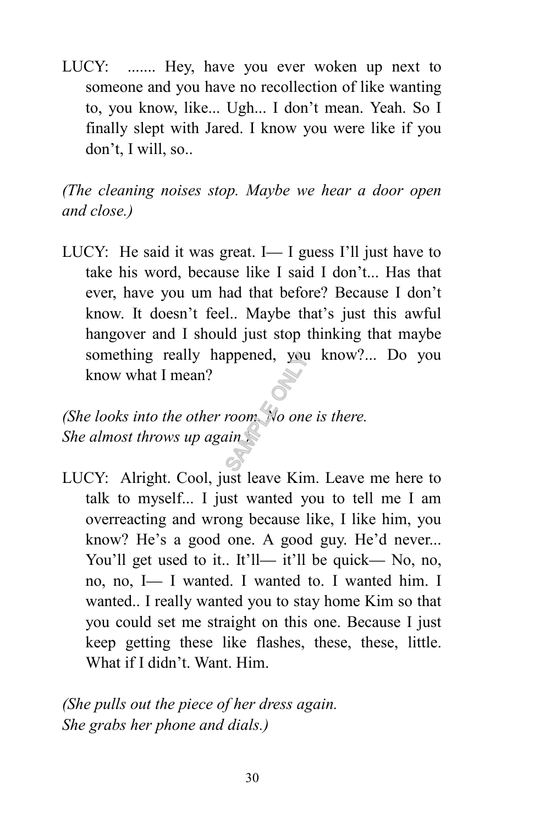LUCY: ....... Hey, have you ever woken up next to someone and you have no recollection of like wanting to, you know, like... Ugh... I don't mean. Yeah. So I finally slept with Jared. I know you were like if you don't, I will, so..

*(The cleaning noises stop. Maybe we hear a door open and close.)*

LUCY: He said it was great. I— I guess I'll just have to take his word, because like I said I don't... Has that ever, have you um had that before? Because I don't know. It doesn't feel.. Maybe that's just this awful hangover and I should just stop thinking that maybe something really happened, you know?... Do you know what I mean?

*(She looks into the other room. No one is there. She almost throws up again.)* ppened, you<br>room. No one<br>ain

LUCY: Alright. Cool, just leave Kim. Leave me here to talk to myself... I just wanted you to tell me I am overreacting and wrong because like, I like him, you know? He's a good one. A good guy. He'd never... You'll get used to it.. It'll— it'll be quick— No, no, no, no, I— I wanted. I wanted to. I wanted him. I wanted.. I really wanted you to stay home Kim so that you could set me straight on this one. Because I just keep getting these like flashes, these, these, little. What if I didn't. Want. Him.

*(She pulls out the piece of her dress again. She grabs her phone and dials.)*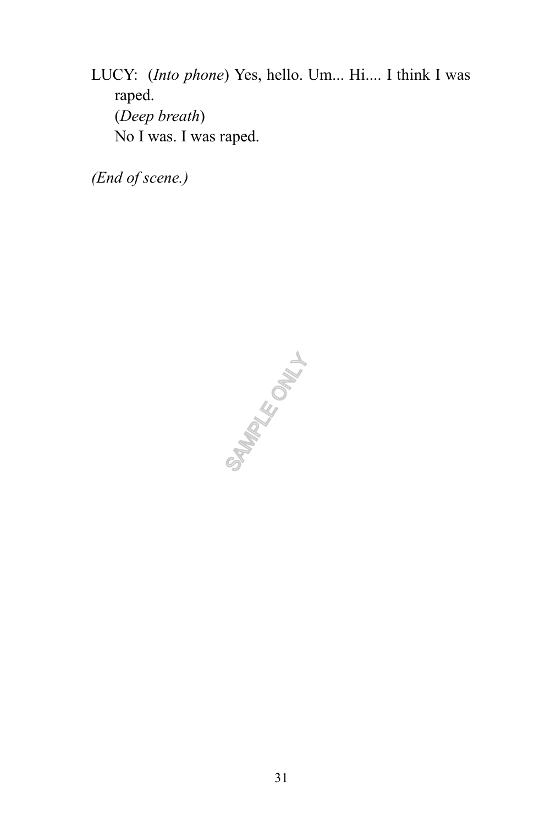LUCY: (*Into phone*) Yes, hello. Um... Hi.... I think I was raped. (*Deep breath*) No I was. I was raped.

*(End of scene.)*

SAMPLE ONLY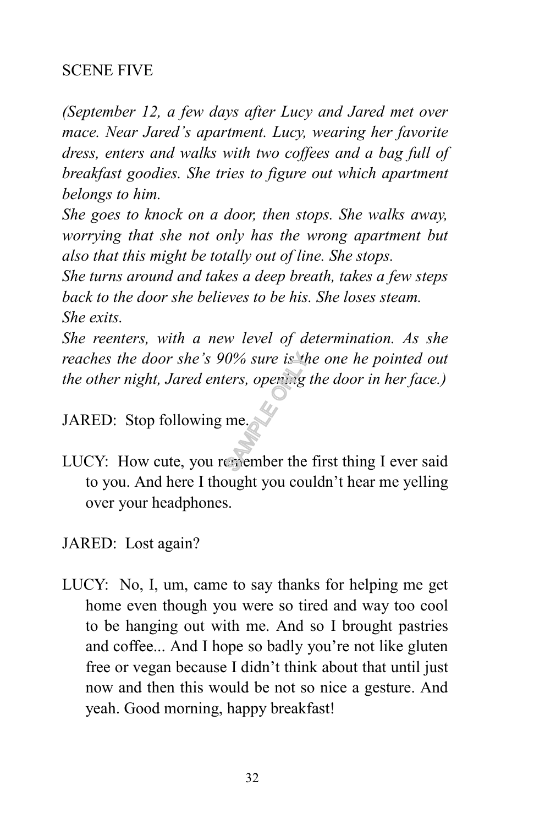# SCENE FIVE

*(September 12, a few days after Lucy and Jared met over mace. Near Jared's apartment. Lucy, wearing her favorite dress, enters and walks with two coffees and a bag full of breakfast goodies. She tries to figure out which apartment belongs to him.*

*She goes to knock on a door, then stops. She walks away, worrying that she not only has the wrong apartment but also that this might be totally out of line. She stops.* 

*She turns around and takes a deep breath, takes a few steps back to the door she believes to be his. She loses steam. She exits.* 

*She reenters, with a new level of determination. As she reaches the door she's 90% sure is the one he pointed out the other night, Jared enters, opening the door in her face.)* reaches the door she's 90% sure is the one he pointed out<br>the other night, Jared enters, opening the door in her face.)<br>JARED: Stop following me.

JARED: Stop following me.

- to you. And here I thought you couldn't hear me yelling over your headphones.
- JARED: Lost again?
- LUCY: No, I, um, came to say thanks for helping me get home even though you were so tired and way too cool to be hanging out with me. And so I brought pastries and coffee... And I hope so badly you're not like gluten free or vegan because I didn't think about that until just now and then this would be not so nice a gesture. And yeah. Good morning, happy breakfast!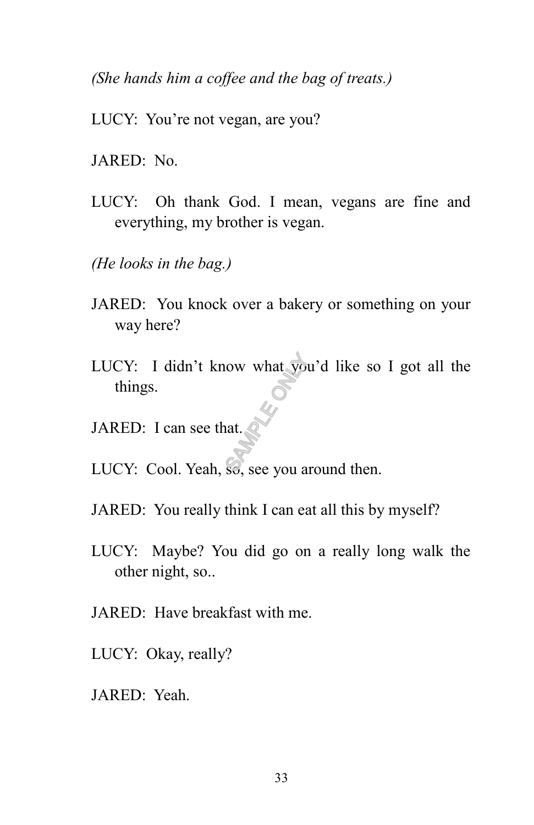*(She hands him a coffee and the bag of treats.)*

- LUCY: You're not vegan, are you?
- JARED: No.
- LUCY: Oh thank God. I mean, vegans are fine and everything, my brother is vegan.
- *(He looks in the bag.)*
- JARED: You knock over a bakery or something on your way here?
- LUCY: I didn't know what you'd like so I got all the things.<br>JARED: I can see that. things.
- JARED: I can see that.
- LUCY: Cool. Yeah, so, see you around then.
- JARED: You really think I can eat all this by myself?
- LUCY: Maybe? You did go on a really long walk the other night, so..
- JARED: Have breakfast with me.
- LUCY: Okay, really?
- JARED: Yeah.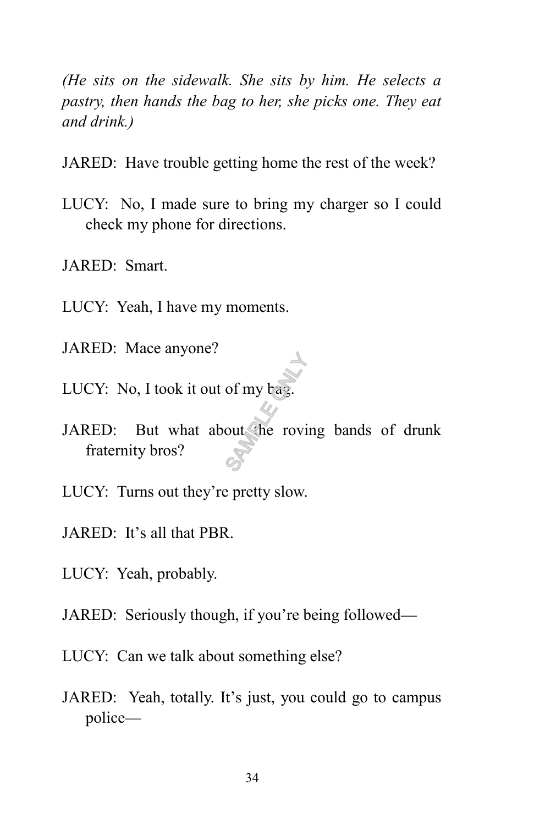*(He sits on the sidewalk. She sits by him. He selects a pastry, then hands the bag to her, she picks one. They eat and drink.)* 

- JARED: Have trouble getting home the rest of the week?
- LUCY: No, I made sure to bring my charger so I could check my phone for directions.
- JARED: Smart.
- LUCY: Yeah, I have my moments.
- JARED: Mace anyone?
- LUCY: No, I took it out of my bag.
- JARED: But what about the roving bands of drunk fraternity bros? of my hay.
- LUCY: Turns out they're pretty slow.
- JARED: It's all that PBR.
- LUCY: Yeah, probably.
- JARED: Seriously though, if you're being followed—
- LUCY: Can we talk about something else?
- JARED: Yeah, totally. It's just, you could go to campus police—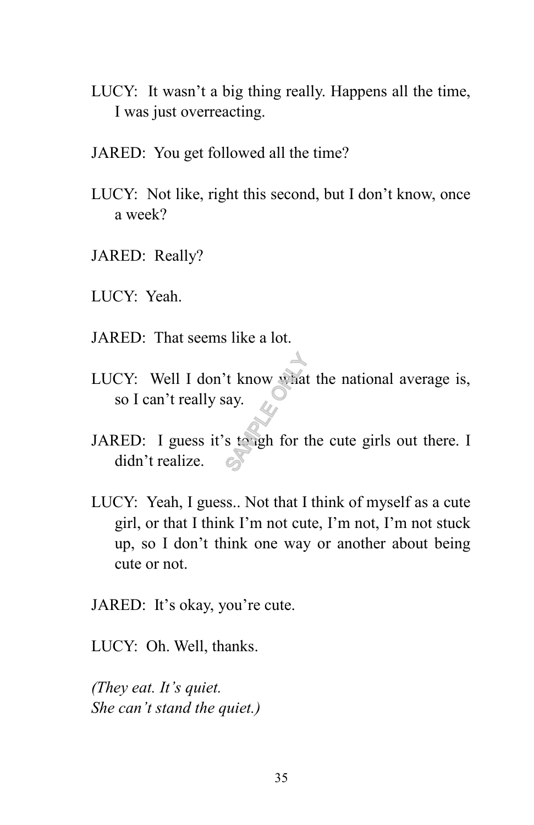- LUCY: It wasn't a big thing really. Happens all the time, I was just overreacting.
- JARED: You get followed all the time?
- LUCY: Not like, right this second, but I don't know, once a week?
- JARED: Really?
- LUCY: Yeah.
- JARED: That seems like a lot.
- LUCY: Well I don't know what the national average is, so I can't really say. The Second State<br>State of the Second State<br>Second Second Second Second Second<br>Second Second Second Second Second Second Second Second Second Second Second Second Second Second Second Second Second Second Second Second Seco
- JARED: I guess it's tough for the cute girls out there. I didn't realize.
- LUCY: Yeah, I guess.. Not that I think of myself as a cute girl, or that I think I'm not cute, I'm not, I'm not stuck up, so I don't think one way or another about being cute or not.
- JARED: It's okay, you're cute.

LUCY: Oh. Well, thanks.

*(They eat. It's quiet. She can't stand the quiet.)*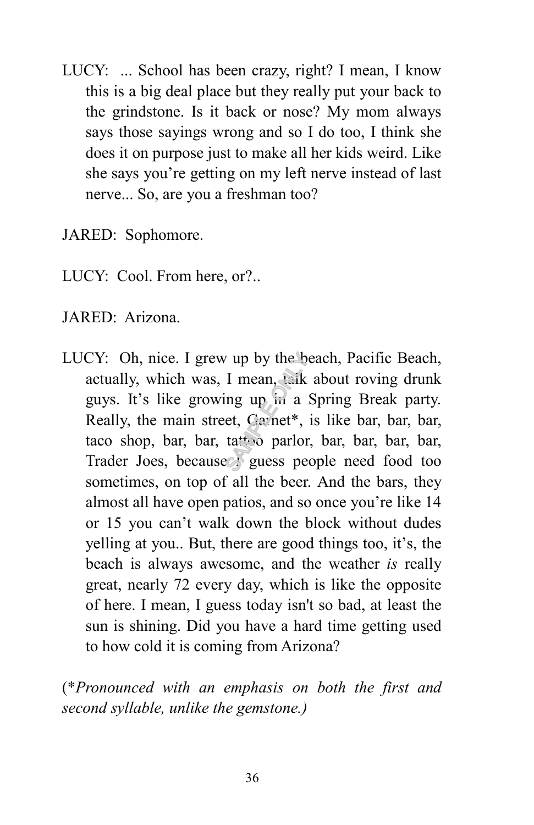LUCY: ... School has been crazy, right? I mean, I know this is a big deal place but they really put your back to the grindstone. Is it back or nose? My mom always says those sayings wrong and so I do too, I think she does it on purpose just to make all her kids weird. Like she says you're getting on my left nerve instead of last nerve... So, are you a freshman too?

JARED: Sophomore.

- LUCY: Cool. From here, or?..
- JARED: Arizona.
- LUCY: Oh, nice. I grew up by the beach, Pacific Beach, actually, which was, I mean, talk about roving drunk guys. It's like growing up in a Spring Break party. Really, the main street, Garnet\*, is like bar, bar, bar, taco shop, bar, bar, tattoo parlor, bar, bar, bar, bar, Trader Joes, because I guess people need food too sometimes, on top of all the beer. And the bars, they almost all have open patios, and so once you're like 14 or 15 you can't walk down the block without dudes yelling at you.. But, there are good things too, it's, the beach is always awesome, and the weather *is* really great, nearly 72 every day, which is like the opposite of here. I mean, I guess today isn't so bad, at least the sun is shining. Did you have a hard time getting used to how cold it is coming from Arizona? I mean, taik<br>I mean, taik<br>ing up in a<br>et, Gamet\*,<br>tattoo parlor<br> $\approx$  guess pe

(\**Pronounced with an emphasis on both the first and second syllable, unlike the gemstone.)*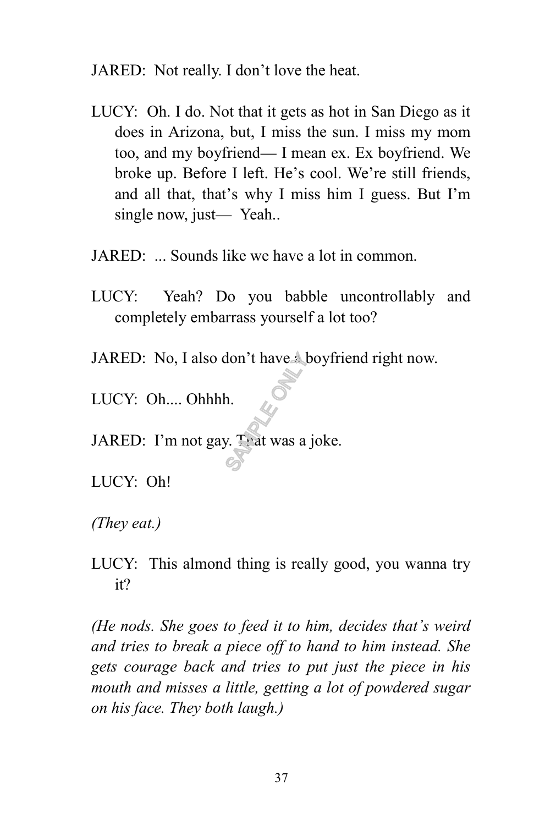JARED: Not really. I don't love the heat.

- LUCY: Oh. I do. Not that it gets as hot in San Diego as it does in Arizona, but, I miss the sun. I miss my mom too, and my boyfriend— I mean ex. Ex boyfriend. We broke up. Before I left. He's cool. We're still friends, and all that, that's why I miss him I guess. But I'm single now, just— Yeah..
- JARED: ... Sounds like we have a lot in common.
- LUCY: Yeah? Do you babble uncontrollably and completely embarrass yourself a lot too?
- JARED: No, I also don't have a boyfriend right now. don't have 4<br>h.<br>y. That was a
- LUCY: Oh.... Ohhhh.
- JARED: I'm not gay. That was a joke.

LUCY: Oh!

*(They eat.)*

LUCY: This almond thing is really good, you wanna try it?

*(He nods. She goes to feed it to him, decides that's weird and tries to break a piece off to hand to him instead. She gets courage back and tries to put just the piece in his mouth and misses a little, getting a lot of powdered sugar on his face. They both laugh.)*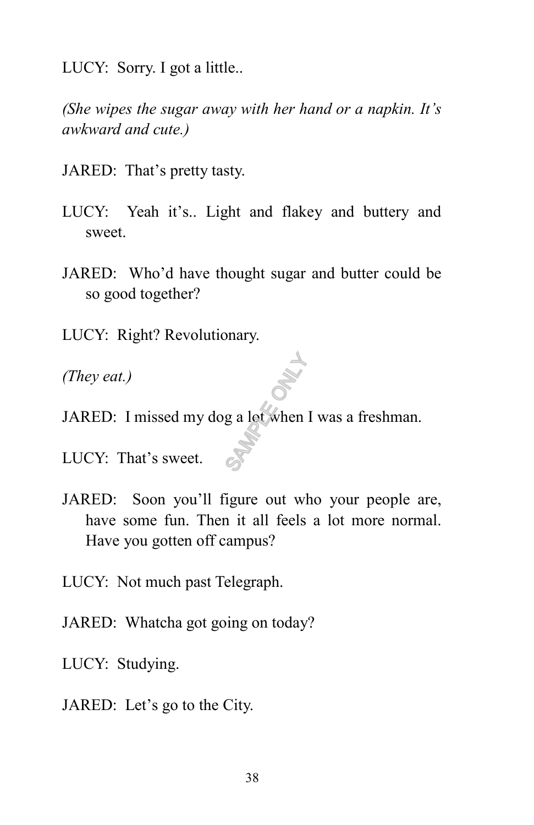LUCY: Sorry. I got a little..

*(She wipes the sugar away with her hand or a napkin. It's awkward and cute.)*

JARED: That's pretty tasty.

- LUCY: Yeah it's.. Light and flakey and buttery and sweet.
- JARED: Who'd have thought sugar and butter could be so good together?
- LUCY: Right? Revolutionary.
- *(They eat.)*
- JARED: I missed my dog a lot when I was a freshman. Branch Concerns of the Concerns of the Concerns of the Concerns of the Concerns of the Concerns of the Concerns of the Concerns of the Concerns of the Concerns of the Concerns of the Concerns of the Concerns of the Concern

LUCY: That's sweet.

- JARED: Soon you'll figure out who your people are, have some fun. Then it all feels a lot more normal. Have you gotten off campus?
- LUCY: Not much past Telegraph.
- JARED: Whatcha got going on today?
- LUCY: Studying.
- JARED: Let's go to the City.